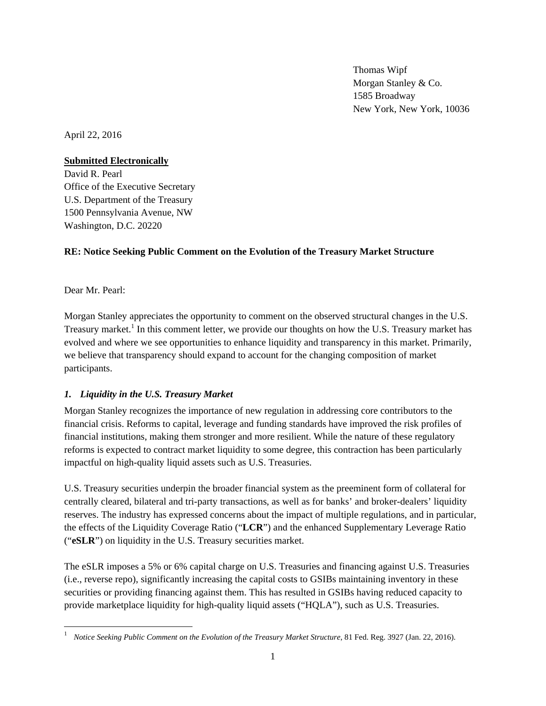Thomas Wipf Morgan Stanley & Co. 1585 Broadway New York, New York, 10036

April 22, 2016

#### **Submitted Electronically**

David R. Pearl Office of the Executive Secretary U.S. Department of the Treasury 1500 Pennsylvania Avenue, NW Washington, D.C. 20220

### **RE: Notice Seeking Public Comment on the Evolution of the Treasury Market Structure**

Dear Mr. Pearl:

Morgan Stanley appreciates the opportunity to comment on the observed structural changes in the U.S. Treasury market.<sup>1</sup> In this comment letter, we provide our thoughts on how the U.S. Treasury market has evolved and where we see opportunities to enhance liquidity and transparency in this market. Primarily, we believe that transparency should expand to account for the changing composition of market participants.

### *1. Liquidity in the U.S. Treasury Market*

Morgan Stanley recognizes the importance of new regulation in addressing core contributors to the financial crisis. Reforms to capital, leverage and funding standards have improved the risk profiles of financial institutions, making them stronger and more resilient. While the nature of these regulatory reforms is expected to contract market liquidity to some degree, this contraction has been particularly impactful on high-quality liquid assets such as U.S. Treasuries.

U.S. Treasury securities underpin the broader financial system as the preeminent form of collateral for centrally cleared, bilateral and tri-party transactions, as well as for banks' and broker-dealers' liquidity reserves. The industry has expressed concerns about the impact of multiple regulations, and in particular, the effects of the Liquidity Coverage Ratio ("**LCR**") and the enhanced Supplementary Leverage Ratio ("**eSLR**") on liquidity in the U.S. Treasury securities market.

The eSLR imposes a 5% or 6% capital charge on U.S. Treasuries and financing against U.S. Treasuries (i.e., reverse repo), significantly increasing the capital costs to GSIBs maintaining inventory in these securities or providing financing against them. This has resulted in GSIBs having reduced capacity to provide marketplace liquidity for high-quality liquid assets ("HQLA"), such as U.S. Treasuries.

<sup>1</sup> *Notice Seeking Public Comment on the Evolution of the Treasury Market Structure*, 81 Fed. Reg. 3927 (Jan. 22, 2016).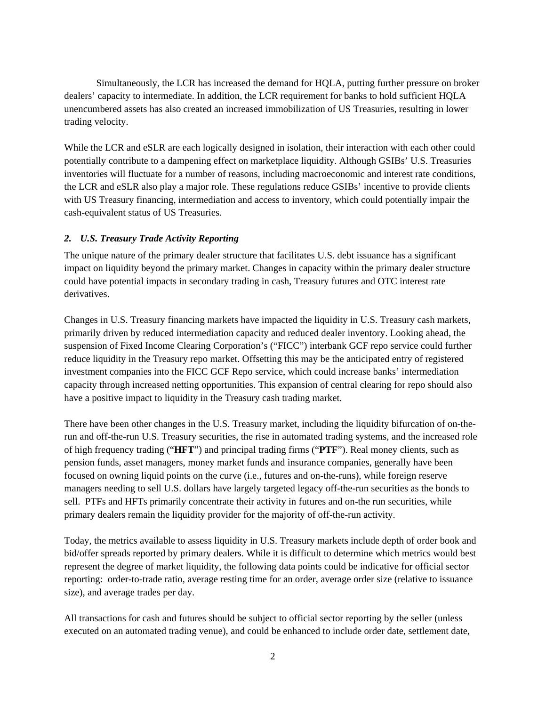Simultaneously, the LCR has increased the demand for HQLA, putting further pressure on broker dealers' capacity to intermediate. In addition, the LCR requirement for banks to hold sufficient HQLA unencumbered assets has also created an increased immobilization of US Treasuries, resulting in lower trading velocity.

While the LCR and eSLR are each logically designed in isolation, their interaction with each other could potentially contribute to a dampening effect on marketplace liquidity. Although GSIBs' U.S. Treasuries inventories will fluctuate for a number of reasons, including macroeconomic and interest rate conditions, the LCR and eSLR also play a major role. These regulations reduce GSIBs' incentive to provide clients with US Treasury financing, intermediation and access to inventory, which could potentially impair the cash-equivalent status of US Treasuries.

### *2. U.S. Treasury Trade Activity Reporting*

The unique nature of the primary dealer structure that facilitates U.S. debt issuance has a significant impact on liquidity beyond the primary market. Changes in capacity within the primary dealer structure could have potential impacts in secondary trading in cash, Treasury futures and OTC interest rate derivatives.

Changes in U.S. Treasury financing markets have impacted the liquidity in U.S. Treasury cash markets, primarily driven by reduced intermediation capacity and reduced dealer inventory. Looking ahead, the suspension of Fixed Income Clearing Corporation's ("FICC") interbank GCF repo service could further reduce liquidity in the Treasury repo market. Offsetting this may be the anticipated entry of registered investment companies into the FICC GCF Repo service, which could increase banks' intermediation capacity through increased netting opportunities. This expansion of central clearing for repo should also have a positive impact to liquidity in the Treasury cash trading market.

There have been other changes in the U.S. Treasury market, including the liquidity bifurcation of on-therun and off-the-run U.S. Treasury securities, the rise in automated trading systems, and the increased role of high frequency trading ("**HFT**") and principal trading firms ("**PTF**"). Real money clients, such as pension funds, asset managers, money market funds and insurance companies, generally have been focused on owning liquid points on the curve (i.e., futures and on-the-runs), while foreign reserve managers needing to sell U.S. dollars have largely targeted legacy off-the-run securities as the bonds to sell. PTFs and HFTs primarily concentrate their activity in futures and on-the run securities, while primary dealers remain the liquidity provider for the majority of off-the-run activity.

Today, the metrics available to assess liquidity in U.S. Treasury markets include depth of order book and bid/offer spreads reported by primary dealers. While it is difficult to determine which metrics would best represent the degree of market liquidity, the following data points could be indicative for official sector reporting: order-to-trade ratio, average resting time for an order, average order size (relative to issuance size), and average trades per day.

All transactions for cash and futures should be subject to official sector reporting by the seller (unless executed on an automated trading venue), and could be enhanced to include order date, settlement date,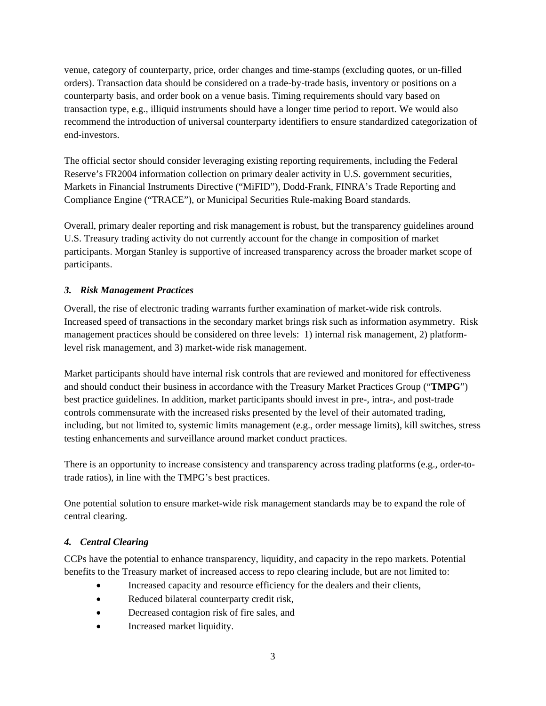venue, category of counterparty, price, order changes and time-stamps (excluding quotes, or un-filled orders). Transaction data should be considered on a trade-by-trade basis, inventory or positions on a counterparty basis, and order book on a venue basis. Timing requirements should vary based on transaction type, e.g., illiquid instruments should have a longer time period to report. We would also recommend the introduction of universal counterparty identifiers to ensure standardized categorization of end-investors.

The official sector should consider leveraging existing reporting requirements, including the Federal Reserve's FR2004 information collection on primary dealer activity in U.S. government securities, Markets in Financial Instruments Directive ("MiFID"), Dodd-Frank, FINRA's Trade Reporting and Compliance Engine ("TRACE"), or Municipal Securities Rule-making Board standards.

Overall, primary dealer reporting and risk management is robust, but the transparency guidelines around U.S. Treasury trading activity do not currently account for the change in composition of market participants. Morgan Stanley is supportive of increased transparency across the broader market scope of participants.

## *3. Risk Management Practices*

Overall, the rise of electronic trading warrants further examination of market-wide risk controls. Increased speed of transactions in the secondary market brings risk such as information asymmetry. Risk management practices should be considered on three levels: 1) internal risk management, 2) platformlevel risk management, and 3) market-wide risk management.

Market participants should have internal risk controls that are reviewed and monitored for effectiveness and should conduct their business in accordance with the Treasury Market Practices Group ("**TMPG**") best practice guidelines. In addition, market participants should invest in pre-, intra-, and post-trade controls commensurate with the increased risks presented by the level of their automated trading, including, but not limited to, systemic limits management (e.g., order message limits), kill switches, stress testing enhancements and surveillance around market conduct practices.

There is an opportunity to increase consistency and transparency across trading platforms (e.g., order-totrade ratios), in line with the TMPG's best practices.

One potential solution to ensure market-wide risk management standards may be to expand the role of central clearing.

# *4. Central Clearing*

CCPs have the potential to enhance transparency, liquidity, and capacity in the repo markets. Potential benefits to the Treasury market of increased access to repo clearing include, but are not limited to:

- Increased capacity and resource efficiency for the dealers and their clients,
- Reduced bilateral counterparty credit risk,
- Decreased contagion risk of fire sales, and
- Increased market liquidity.